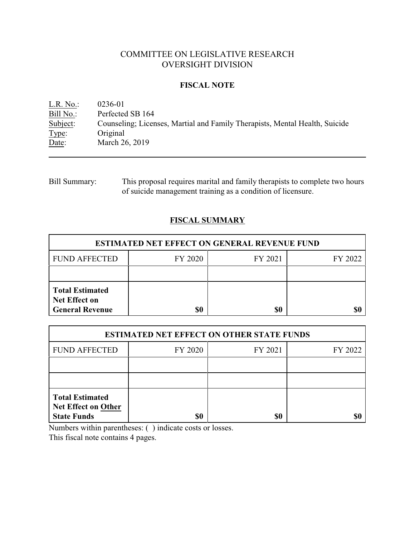# COMMITTEE ON LEGISLATIVE RESEARCH OVERSIGHT DIVISION

### **FISCAL NOTE**

<u>L.R. No.</u>: 0236-01<br>Bill No.: Perfected Bill No.: Perfected SB 164<br>Subject: Counseling; Licen Counseling; Licenses, Martial and Family Therapists, Mental Health, Suicide Type: Original Date: March 26, 2019

Bill Summary: This proposal requires marital and family therapists to complete two hours of suicide management training as a condition of licensure.

# **FISCAL SUMMARY**

| <b>ESTIMATED NET EFFECT ON GENERAL REVENUE FUND</b>                      |         |         |         |  |
|--------------------------------------------------------------------------|---------|---------|---------|--|
| <b>FUND AFFECTED</b>                                                     | FY 2020 | FY 2021 | FY 2022 |  |
|                                                                          |         |         |         |  |
| <b>Total Estimated</b><br><b>Net Effect on</b><br><b>General Revenue</b> | \$0     | \$0     |         |  |

| <b>ESTIMATED NET EFFECT ON OTHER STATE FUNDS</b>                           |         |         |         |  |
|----------------------------------------------------------------------------|---------|---------|---------|--|
| <b>FUND AFFECTED</b>                                                       | FY 2020 | FY 2021 | FY 2022 |  |
|                                                                            |         |         |         |  |
|                                                                            |         |         |         |  |
| <b>Total Estimated</b><br><b>Net Effect on Other</b><br><b>State Funds</b> | \$0     | \$0     |         |  |

Numbers within parentheses: ( ) indicate costs or losses.

This fiscal note contains 4 pages.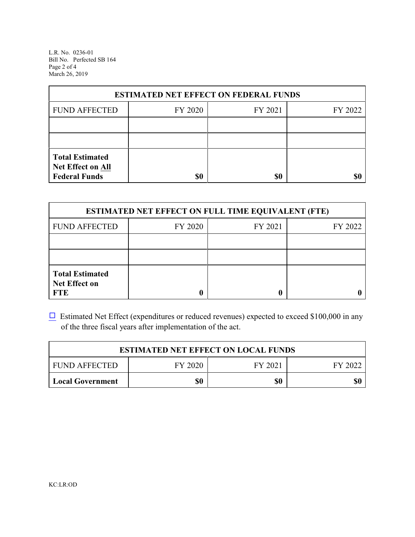L.R. No. 0236-01 Bill No. Perfected SB 164 Page 2 of 4 March 26, 2019

| <b>ESTIMATED NET EFFECT ON FEDERAL FUNDS</b>                        |         |         |         |  |
|---------------------------------------------------------------------|---------|---------|---------|--|
| <b>FUND AFFECTED</b>                                                | FY 2020 | FY 2021 | FY 2022 |  |
|                                                                     |         |         |         |  |
|                                                                     |         |         |         |  |
| <b>Total Estimated</b><br>Net Effect on All<br><b>Federal Funds</b> | \$0     | \$0     | SI)     |  |

| <b>ESTIMATED NET EFFECT ON FULL TIME EQUIVALENT (FTE)</b>    |         |         |         |  |
|--------------------------------------------------------------|---------|---------|---------|--|
| <b>FUND AFFECTED</b>                                         | FY 2020 | FY 2021 | FY 2022 |  |
|                                                              |         |         |         |  |
|                                                              |         |         |         |  |
| <b>Total Estimated</b><br><b>Net Effect on</b><br><b>FTE</b> |         |         |         |  |

 $\Box$  Estimated Net Effect (expenditures or reduced revenues) expected to exceed \$100,000 in any of the three fiscal years after implementation of the act.

| <b>ESTIMATED NET EFFECT ON LOCAL FUNDS</b> |         |         |         |  |
|--------------------------------------------|---------|---------|---------|--|
| <b>FUND AFFECTED</b>                       | FY 2020 | FY 2021 | FY 2022 |  |
| <b>Local Government</b>                    | \$0     | \$0     | \$0     |  |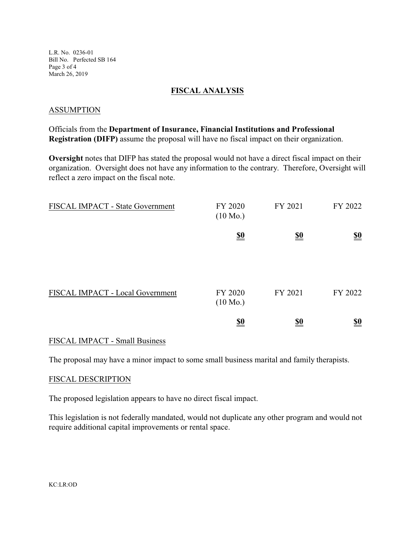L.R. No. 0236-01 Bill No. Perfected SB 164 Page 3 of 4 March 26, 2019

### **FISCAL ANALYSIS**

#### ASSUMPTION

Officials from the **Department of Insurance, Financial Institutions and Professional Registration (DIFP)** assume the proposal will have no fiscal impact on their organization.

**Oversight** notes that DIFP has stated the proposal would not have a direct fiscal impact on their organization. Oversight does not have any information to the contrary. Therefore, Oversight will reflect a zero impact on the fiscal note.

| FISCAL IMPACT - State Government | FY 2020<br>$(10 \text{ Mo.})$ | FY 2021    | FY 2022                       |
|----------------------------------|-------------------------------|------------|-------------------------------|
|                                  | $\underline{\underline{\$0}}$ | <u>\$0</u> | $\underline{\underline{\$0}}$ |
| FISCAL IMPACT - Local Government | FY 2020<br>$(10 \text{ Mo.})$ | FY 2021    | FY 2022                       |
|                                  | <u>\$0</u>                    | <u>\$0</u> | <u>\$0</u>                    |

### FISCAL IMPACT - Small Business

The proposal may have a minor impact to some small business marital and family therapists.

#### FISCAL DESCRIPTION

The proposed legislation appears to have no direct fiscal impact.

This legislation is not federally mandated, would not duplicate any other program and would not require additional capital improvements or rental space.